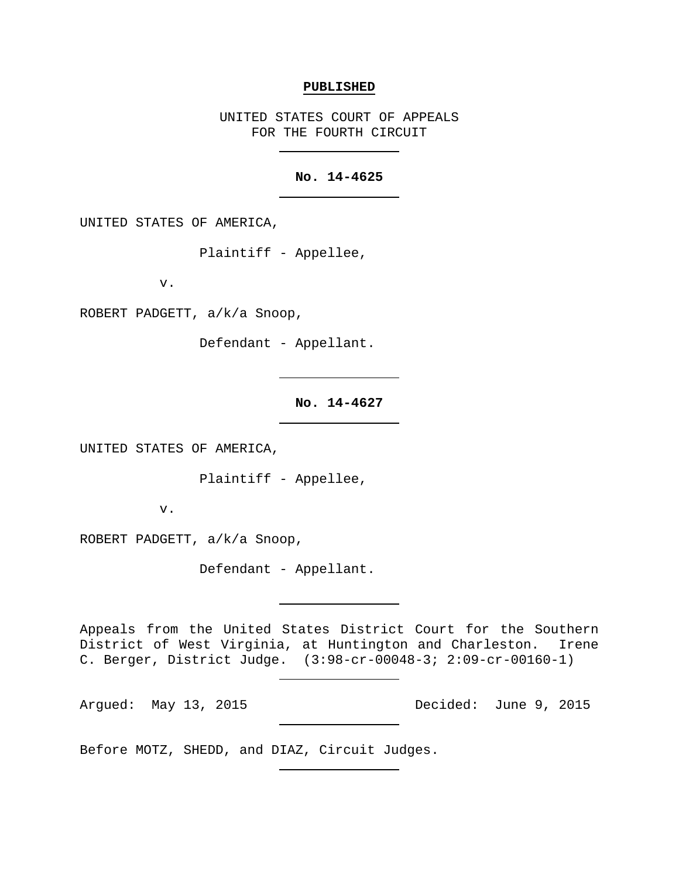#### **PUBLISHED**

UNITED STATES COURT OF APPEALS FOR THE FOURTH CIRCUIT

# **No. 14-4625**

UNITED STATES OF AMERICA,

Plaintiff - Appellee,

v.

ROBERT PADGETT, a/k/a Snoop,

Defendant - Appellant.

**No. 14-4627**

UNITED STATES OF AMERICA,

Plaintiff - Appellee,

v.

ROBERT PADGETT, a/k/a Snoop,

Defendant - Appellant.

Appeals from the United States District Court for the Southern District of West Virginia, at Huntington and Charleston. Irene C. Berger, District Judge. (3:98-cr-00048-3; 2:09-cr-00160-1)

Argued: May 13, 2015 Decided: June 9, 2015

Before MOTZ, SHEDD, and DIAZ, Circuit Judges.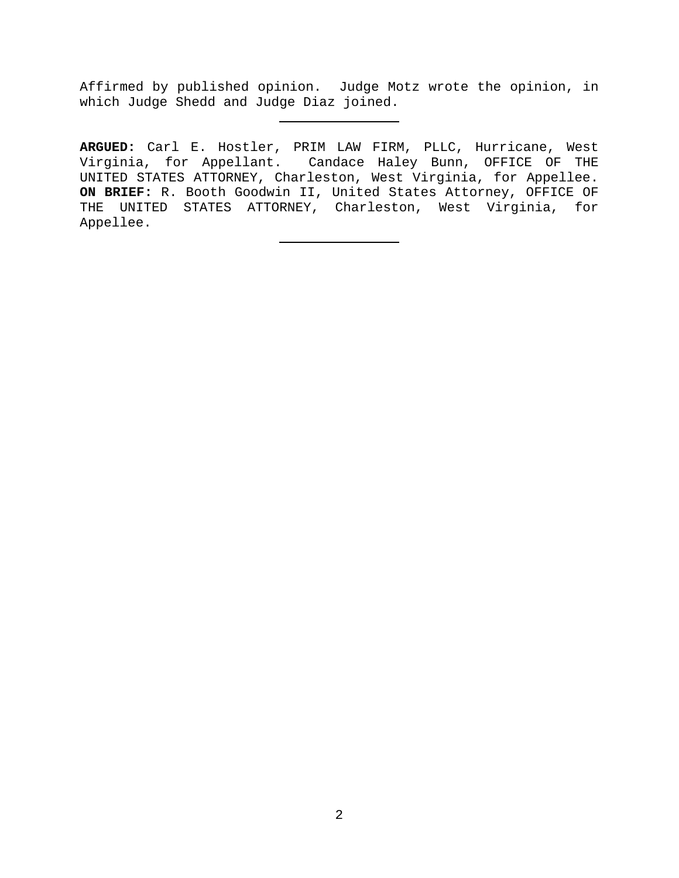Affirmed by published opinion. Judge Motz wrote the opinion, in which Judge Shedd and Judge Diaz joined.

**ARGUED:** Carl E. Hostler, PRIM LAW FIRM, PLLC, Hurricane, West Virginia, for Appellant. Candace Haley Bunn, OFFICE OF THE UNITED STATES ATTORNEY, Charleston, West Virginia, for Appellee. **ON BRIEF:** R. Booth Goodwin II, United States Attorney, OFFICE OF THE UNITED STATES ATTORNEY, Charleston, West Virginia, for Appellee.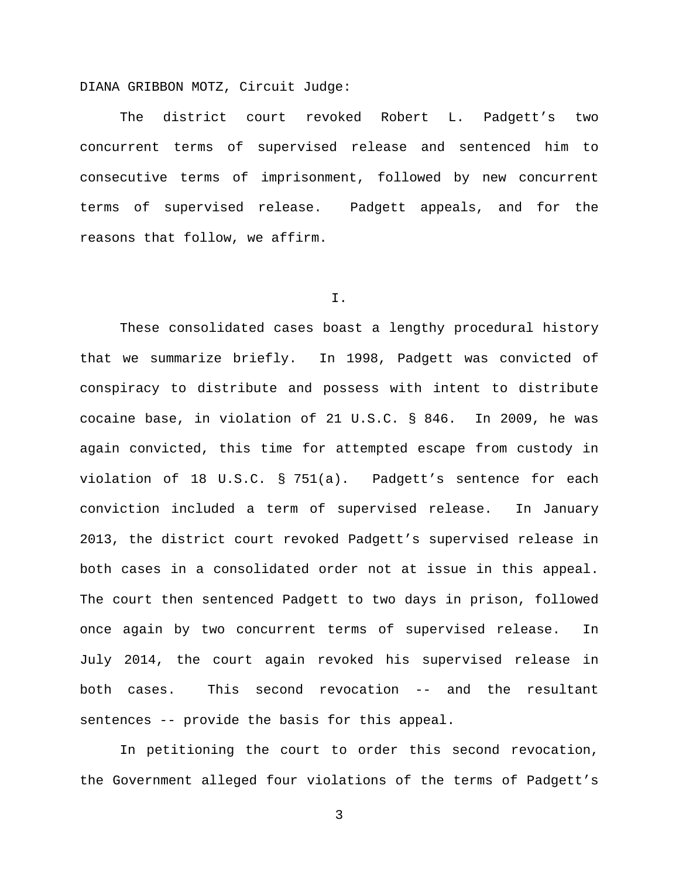DIANA GRIBBON MOTZ, Circuit Judge:

The district court revoked Robert L. Padgett's two concurrent terms of supervised release and sentenced him to consecutive terms of imprisonment, followed by new concurrent terms of supervised release. Padgett appeals, and for the reasons that follow, we affirm.

I.

These consolidated cases boast a lengthy procedural history that we summarize briefly. In 1998, Padgett was convicted of conspiracy to distribute and possess with intent to distribute cocaine base, in violation of 21 U.S.C. § 846. In 2009, he was again convicted, this time for attempted escape from custody in violation of 18 U.S.C. § 751(a). Padgett's sentence for each conviction included a term of supervised release. In January 2013, the district court revoked Padgett's supervised release in both cases in a consolidated order not at issue in this appeal. The court then sentenced Padgett to two days in prison, followed once again by two concurrent terms of supervised release. In July 2014, the court again revoked his supervised release in both cases. This second revocation -- and the resultant sentences -- provide the basis for this appeal.

In petitioning the court to order this second revocation, the Government alleged four violations of the terms of Padgett's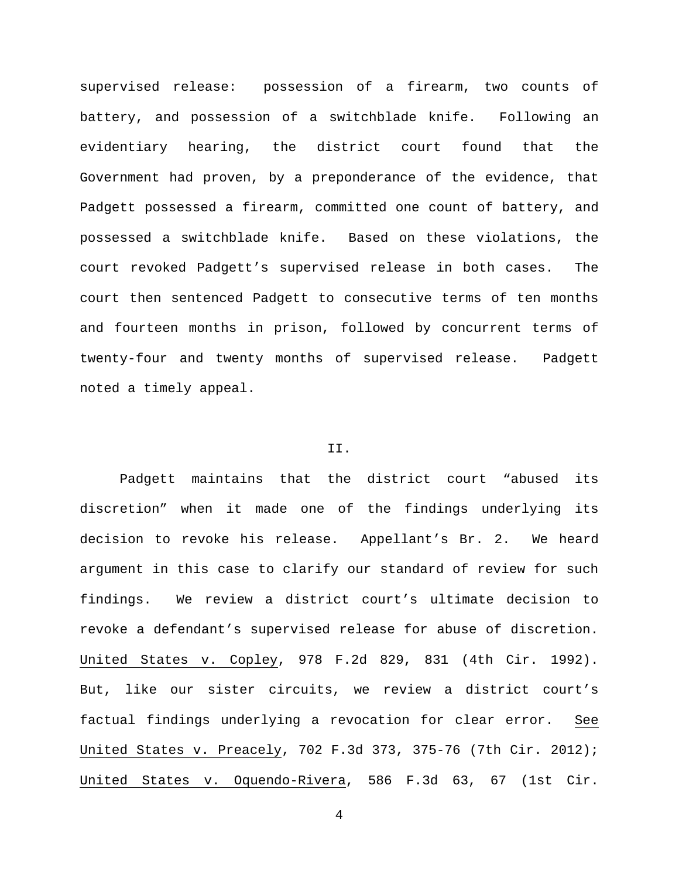supervised release: possession of a firearm, two counts of battery, and possession of a switchblade knife. Following an evidentiary hearing, the district court found that the Government had proven, by a preponderance of the evidence, that Padgett possessed a firearm, committed one count of battery, and possessed a switchblade knife. Based on these violations, the court revoked Padgett's supervised release in both cases. The court then sentenced Padgett to consecutive terms of ten months and fourteen months in prison, followed by concurrent terms of twenty-four and twenty months of supervised release. Padgett noted a timely appeal.

## II.

Padgett maintains that the district court "abused its discretion" when it made one of the findings underlying its decision to revoke his release. Appellant's Br. 2. We heard argument in this case to clarify our standard of review for such findings. We review a district court's ultimate decision to revoke a defendant's supervised release for abuse of discretion. United States v. Copley, 978 F.2d 829, 831 (4th Cir. 1992). But, like our sister circuits, we review a district court's factual findings underlying a revocation for clear error. See United States v. Preacely, 702 F.3d 373, 375-76 (7th Cir. 2012); United States v. Oquendo-Rivera, 586 F.3d 63, 67 (1st Cir.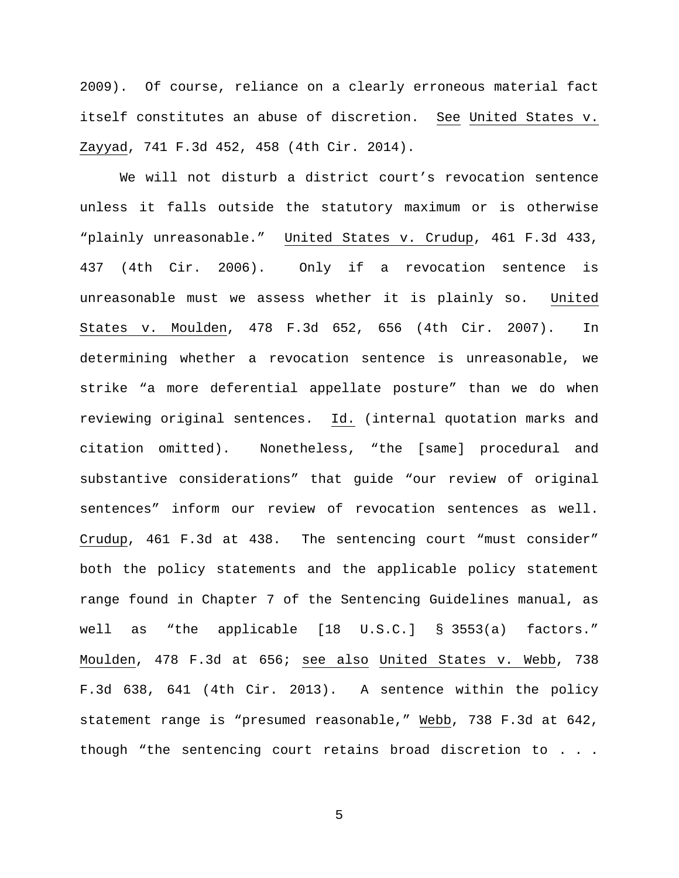2009). Of course, reliance on a clearly erroneous material fact itself constitutes an abuse of discretion. See United States v. Zayyad, 741 F.3d 452, 458 (4th Cir. 2014).

We will not disturb a district court's revocation sentence unless it falls outside the statutory maximum or is otherwise "plainly unreasonable." United States v. Crudup, 461 F.3d 433, 437 (4th Cir. 2006). Only if a revocation sentence is unreasonable must we assess whether it is plainly so. United States v. Moulden, 478 F.3d 652, 656 (4th Cir. 2007). In determining whether a revocation sentence is unreasonable, we strike "a more deferential appellate posture" than we do when reviewing original sentences. Id. (internal quotation marks and citation omitted). Nonetheless, "the [same] procedural and substantive considerations" that guide "our review of original sentences" inform our review of revocation sentences as well. Crudup, 461 F.3d at 438. The sentencing court "must consider" both the policy statements and the applicable policy statement range found in Chapter 7 of the Sentencing Guidelines manual, as well as "the applicable [18 U.S.C.] § 3553(a) factors." Moulden, 478 F.3d at 656; see also United States v. Webb, 738 F.3d 638, 641 (4th Cir. 2013). A sentence within the policy statement range is "presumed reasonable," Webb, 738 F.3d at 642, though "the sentencing court retains broad discretion to . . .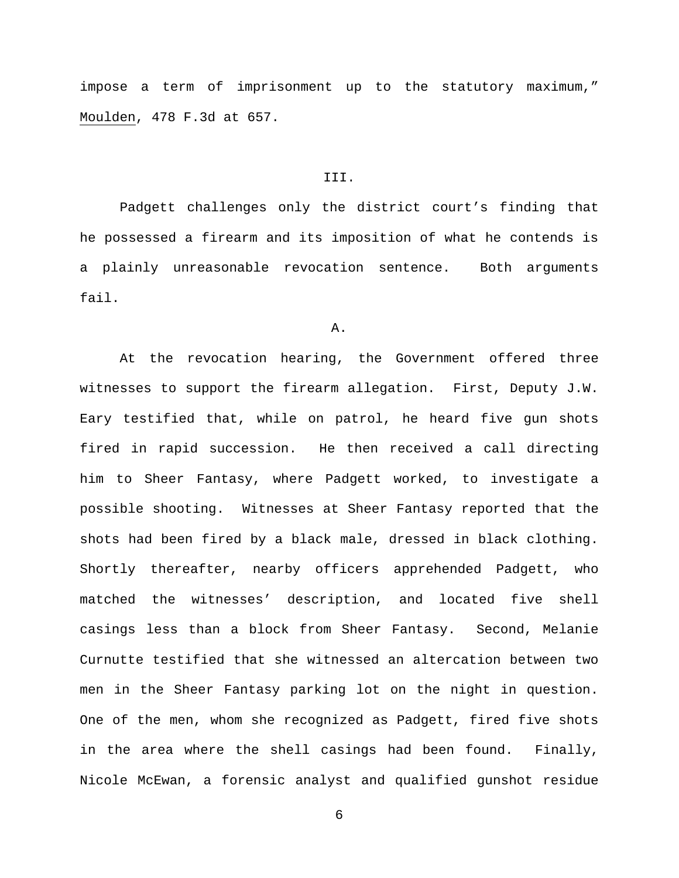impose a term of imprisonment up to the statutory maximum," Moulden, 478 F.3d at 657.

#### III.

Padgett challenges only the district court's finding that he possessed a firearm and its imposition of what he contends is a plainly unreasonable revocation sentence. Both arguments fail.

### A.

At the revocation hearing, the Government offered three witnesses to support the firearm allegation. First, Deputy J.W. Eary testified that, while on patrol, he heard five gun shots fired in rapid succession. He then received a call directing him to Sheer Fantasy, where Padgett worked, to investigate a possible shooting. Witnesses at Sheer Fantasy reported that the shots had been fired by a black male, dressed in black clothing. Shortly thereafter, nearby officers apprehended Padgett, who matched the witnesses' description, and located five shell casings less than a block from Sheer Fantasy. Second, Melanie Curnutte testified that she witnessed an altercation between two men in the Sheer Fantasy parking lot on the night in question. One of the men, whom she recognized as Padgett, fired five shots in the area where the shell casings had been found. Finally, Nicole McEwan, a forensic analyst and qualified gunshot residue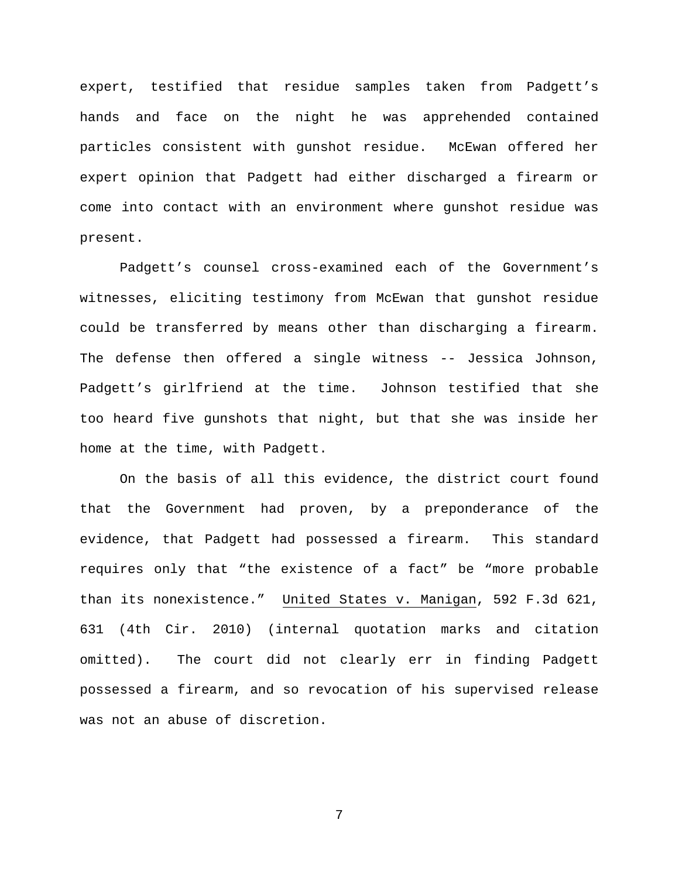expert, testified that residue samples taken from Padgett's hands and face on the night he was apprehended contained particles consistent with gunshot residue. McEwan offered her expert opinion that Padgett had either discharged a firearm or come into contact with an environment where gunshot residue was present.

Padgett's counsel cross-examined each of the Government's witnesses, eliciting testimony from McEwan that gunshot residue could be transferred by means other than discharging a firearm. The defense then offered a single witness -- Jessica Johnson, Padgett's girlfriend at the time. Johnson testified that she too heard five gunshots that night, but that she was inside her home at the time, with Padgett.

On the basis of all this evidence, the district court found that the Government had proven, by a preponderance of the evidence, that Padgett had possessed a firearm. This standard requires only that "the existence of a fact" be "more probable than its nonexistence." United States v. Manigan, 592 F.3d 621, 631 (4th Cir. 2010) (internal quotation marks and citation omitted). The court did not clearly err in finding Padgett possessed a firearm, and so revocation of his supervised release was not an abuse of discretion.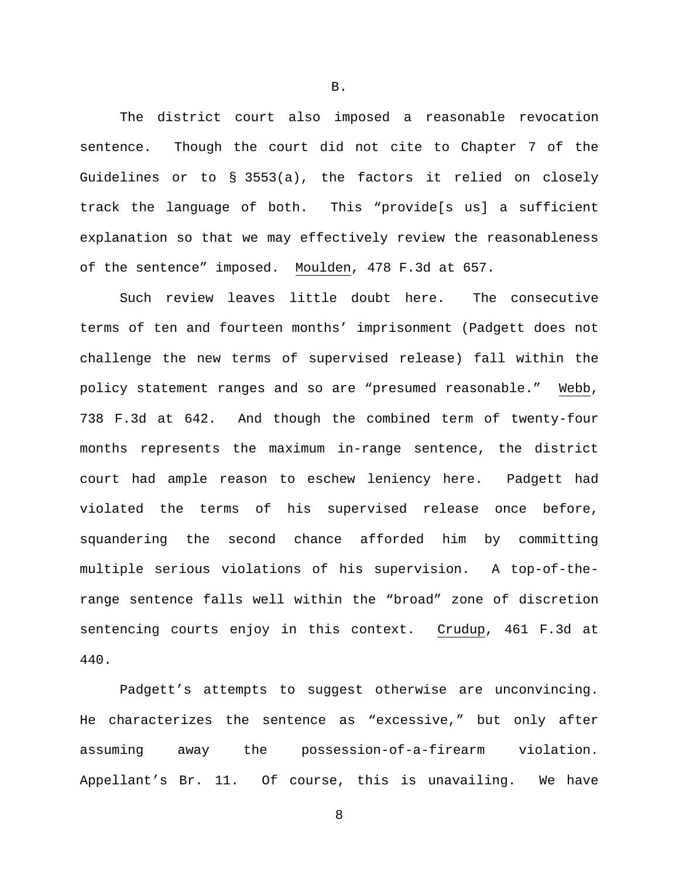The district court also imposed a reasonable revocation sentence. Though the court did not cite to Chapter 7 of the Guidelines or to § 3553(a), the factors it relied on closely track the language of both. This "provide[s us] a sufficient explanation so that we may effectively review the reasonableness of the sentence" imposed. Moulden, 478 F.3d at 657.

Such review leaves little doubt here. The consecutive terms of ten and fourteen months' imprisonment (Padgett does not challenge the new terms of supervised release) fall within the policy statement ranges and so are "presumed reasonable." Webb, 738 F.3d at 642. And though the combined term of twenty-four months represents the maximum in-range sentence, the district court had ample reason to eschew leniency here. Padgett had violated the terms of his supervised release once before, squandering the second chance afforded him by committing multiple serious violations of his supervision. A top-of-therange sentence falls well within the "broad" zone of discretion sentencing courts enjoy in this context. Crudup, 461 F.3d at 440.

Padgett's attempts to suggest otherwise are unconvincing. He characterizes the sentence as "excessive," but only after assuming away the possession-of-a-firearm violation. Appellant's Br. 11. Of course, this is unavailing. We have

8

B.